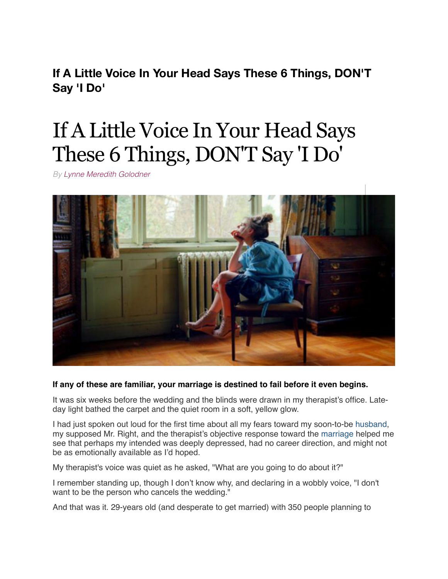**If A Little Voice In Your Head Says These 6 Things, DON'T Say 'I Do'**

# If A Little Voice In Your Head Says These 6 Things, DON'T Say 'I Do'

*By [Lynne Meredith Golodner](http://www.yourtango.com/users/lynne-meredith-golodner)*



# **If any of these are familiar, your marriage is destined to fail before it even begins.**

It was six weeks before the wedding and the blinds were drawn in my therapist's office. Lateday light bathed the carpet and the quiet room in a soft, yellow glow.

I had just spoken out loud for the first time about all my fears toward my soon-to-be [husband,](http://www.yourtango.com/2013197121/marriage-i-put-my-husband-my-child) my supposed Mr. Right, and the therapist's objective response toward the [marriage](http://www.yourtango.com/married-lovestage) helped me see that perhaps my intended was deeply depressed, had no career direction, and might not be as emotionally available as I'd hoped.

My therapist's voice was quiet as he asked, "What are you going to do about it?"

I remember standing up, though I don't know why, and declaring in a wobbly voice, "I don't want to be the person who cancels the wedding."

And that was it. 29-years old (and desperate to get married) with 350 people planning to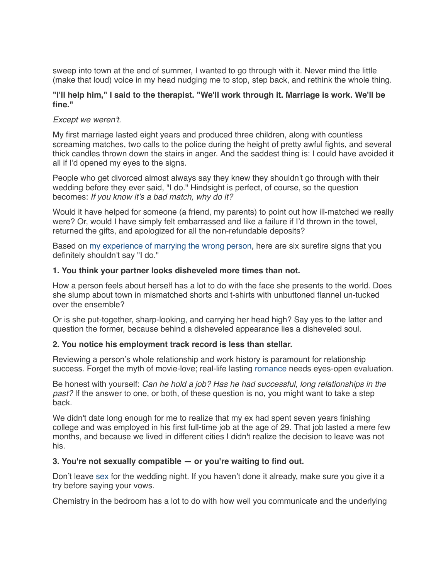sweep into town at the end of summer, I wanted to go through with it. Never mind the little (make that loud) voice in my head nudging me to stop, step back, and rethink the whole thing.

# **"I'll help him," I said to the therapist. "We'll work through it. Marriage is work. We'll be fine."**

# *Except we weren't.*

My first marriage lasted eight years and produced three children, along with countless screaming matches, two calls to the police during the height of pretty awful fights, and several thick candles thrown down the stairs in anger. And the saddest thing is: I could have avoided it all if I'd opened my eyes to the signs.

People who get divorced almost always say they knew they shouldn't go through with their wedding before they ever said, "I do." Hindsight is perfect, of course, so the question becomes: *If you know it's a bad match, why do it?*

Would it have helped for someone (a friend, my parents) to point out how ill-matched we really were? Or, would I have simply felt embarrassed and like a failure if I'd thrown in the towel, returned the gifts, and apologized for all the non-refundable deposits?

Based on [my experience of marrying the wrong person,](http://www.yourtango.com/2015275253/6-reasons-marrying-mr-wrong-was-the-best-decision-i-ever-made) here are six surefire signs that you definitely shouldn't say "I do."

## **1. You think your partner looks disheveled more times than not.**

How a person feels about herself has a lot to do with the face she presents to the world. Does she slump about town in mismatched shorts and t-shirts with unbuttoned flannel un-tucked over the ensemble?

Or is she put-together, sharp-looking, and carrying her head high? Say yes to the latter and question the former, because behind a disheveled appearance lies a disheveled soul.

#### **2. You notice his employment track record is less than stellar.**

Reviewing a person's whole relationship and work history is paramount for relationship success. Forget the myth of movie-love; real-life lasting [romance](http://www.yourtango.com/romance) needs eyes-open evaluation.

Be honest with yourself: *Can he hold a job? Has he had successful, long relationships in the past?* If the answer to one, or both, of these question is no, you might want to take a step back.

We didn't date long enough for me to realize that my ex had spent seven years finishing college and was employed in his first full-time job at the age of 29. That job lasted a mere few months, and because we lived in different cities I didn't realize the decision to leave was not his.

#### **3. You're not sexually compatible — or you're waiting to find out.**

Don't leave [sex](http://www.yourtango.com/sex) for the wedding night. If you haven't done it already, make sure you give it a try before saying your vows.

Chemistry in the bedroom has a lot to do with how well you communicate and the underlying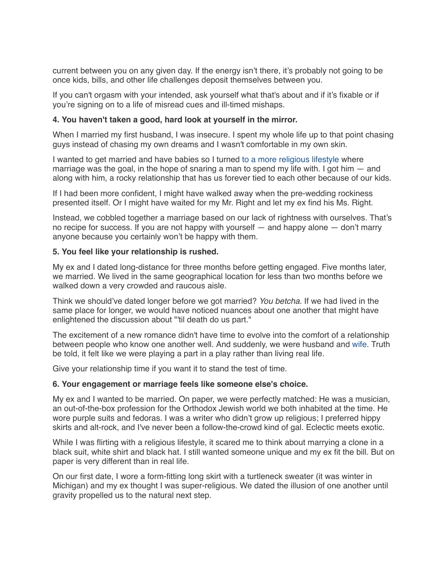current between you on any given day. If the energy isn't there, it's probably not going to be once kids, bills, and other life challenges deposit themselves between you.

If you can't orgasm with your intended, ask yourself what that's about and if it's fixable or if you're signing on to a life of misread cues and ill-timed mishaps.

# **4. You haven't taken a good, hard look at yourself in the mirror.**

When I married my first husband, I was insecure. I spent my whole life up to that point chasing guys instead of chasing my own dreams and I wasn't comfortable in my own skin.

I wanted to get married and have babies so I turned [to a more religious lifestyle](http://www.yourtango.com/200623/forbidden-desires) where marriage was the goal, in the hope of snaring a man to spend my life with. I got him  $-$  and along with him, a rocky relationship that has us forever tied to each other because of our kids.

If I had been more confident, I might have walked away when the pre-wedding rockiness presented itself. Or I might have waited for my Mr. Right and let my ex find his Ms. Right.

Instead, we cobbled together a marriage based on our lack of rightness with ourselves. That's no recipe for success. If you are not happy with yourself — and happy alone — don't marry anyone because you certainly won't be happy with them.

## **5. You feel like your relationship is rushed.**

My ex and I dated long-distance for three months before getting engaged. Five months later, we married. We lived in the same geographical location for less than two months before we walked down a very crowded and raucous aisle.

Think we should've dated longer before we got married? *You betcha.* If we had lived in the same place for longer, we would have noticed nuances about one another that might have enlightened the discussion about "'til death do us part."

The excitement of a new romance didn't have time to evolve into the comfort of a relationship between people who know one another well. And suddenly, we were husband and [wife.](http://www.yourtango.com/2014225879/5-love-and-wife-mistakes-im-guilty-of-making-in-my-marriage) Truth be told, it felt like we were playing a part in a play rather than living real life.

Give your relationship time if you want it to stand the test of time.

#### **6. Your engagement or marriage feels like someone else's choice.**

My ex and I wanted to be married. On paper, we were perfectly matched: He was a musician, an out-of-the-box profession for the Orthodox Jewish world we both inhabited at the time. He wore purple suits and fedoras. I was a writer who didn't grow up religious; I preferred hippy skirts and alt-rock, and I've never been a follow-the-crowd kind of gal. Eclectic meets exotic.

While I was flirting with a religious lifestyle, it scared me to think about marrying a clone in a black suit, white shirt and black hat. I still wanted someone unique and my ex fit the bill. But on paper is very different than in real life.

On our first date, I wore a form-fitting long skirt with a turtleneck sweater (it was winter in Michigan) and my ex thought I was super-religious. We dated the illusion of one another until gravity propelled us to the natural next step.